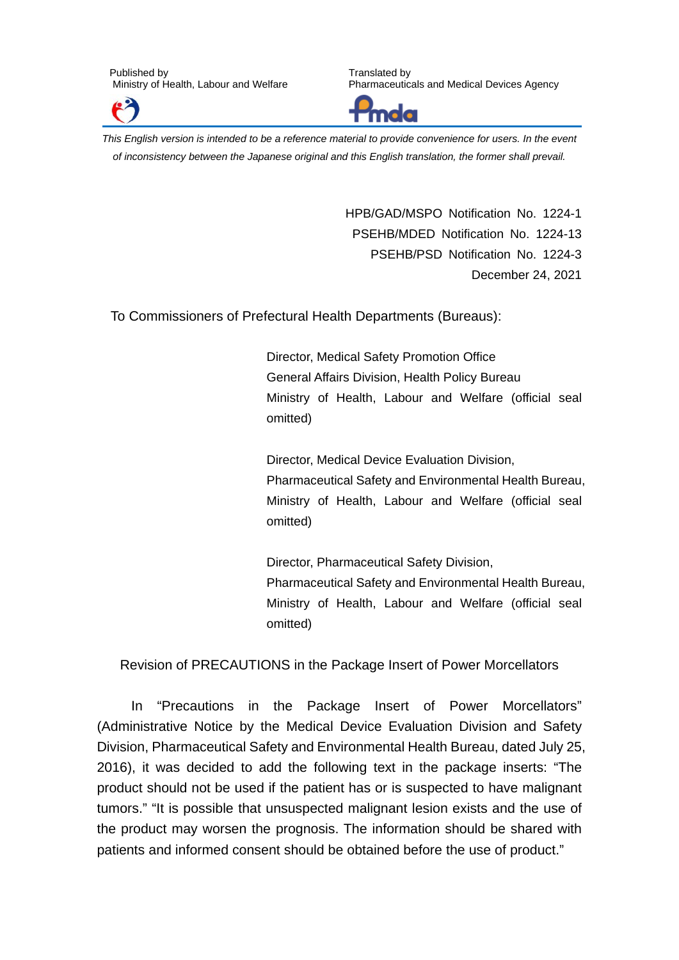

Translated by Pharmaceuticals and Medical Devices Agency



*This English version is intended to be a reference material to provide convenience for users. In the event of inconsistency between the Japanese original and this English translation, the former shall prevail.*

> HPB/GAD/MSPO Notification No. 1224-1 PSEHB/MDED Notification No. 1224-13 PSEHB/PSD Notification No. 1224-3 December 24, 2021

To Commissioners of Prefectural Health Departments (Bureaus):

Director, Medical Safety Promotion Office General Affairs Division, Health Policy Bureau Ministry of Health, Labour and Welfare (official seal omitted)

Director, Medical Device Evaluation Division, Pharmaceutical Safety and Environmental Health Bureau, Ministry of Health, Labour and Welfare (official seal omitted)

Director, Pharmaceutical Safety Division, Pharmaceutical Safety and Environmental Health Bureau, Ministry of Health, Labour and Welfare (official seal omitted)

Revision of PRECAUTIONS in the Package Insert of Power Morcellators

In "Precautions in the Package Insert of Power Morcellators" (Administrative Notice by the Medical Device Evaluation Division and Safety Division, Pharmaceutical Safety and Environmental Health Bureau, dated July 25, 2016), it was decided to add the following text in the package inserts: "The product should not be used if the patient has or is suspected to have malignant tumors." "It is possible that unsuspected malignant lesion exists and the use of the product may worsen the prognosis. The information should be shared with patients and informed consent should be obtained before the use of product."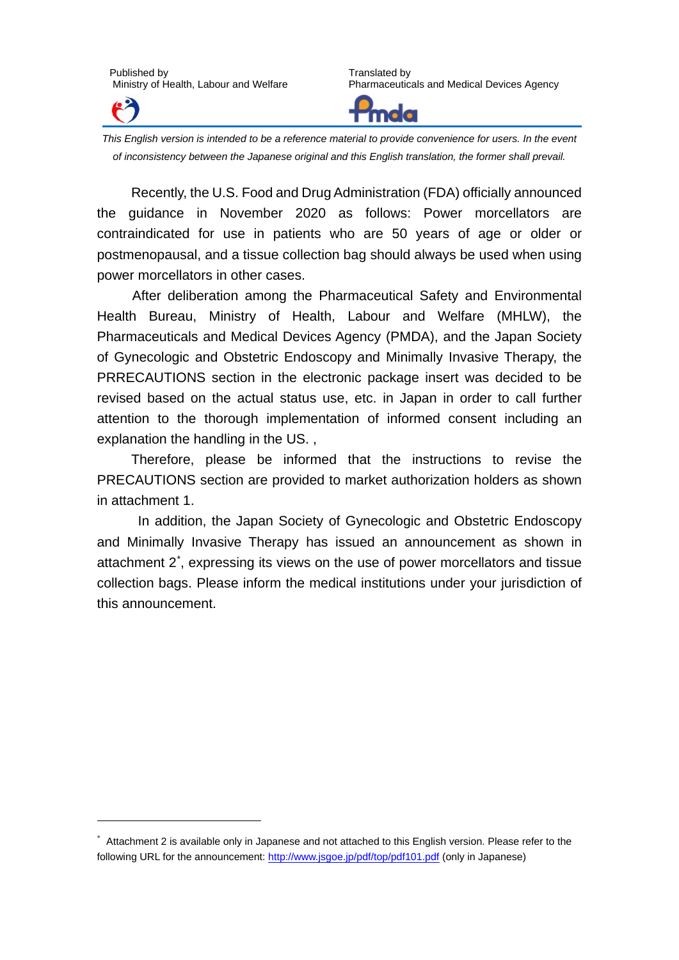

-

Translated by Pharmaceuticals and Medical Devices Agency



*This English version is intended to be a reference material to provide convenience for users. In the event of inconsistency between the Japanese original and this English translation, the former shall prevail.*

Recently, the U.S. Food and Drug Administration (FDA) officially announced the guidance in November 2020 as follows: Power morcellators are contraindicated for use in patients who are 50 years of age or older or postmenopausal, and a tissue collection bag should always be used when using power morcellators in other cases.

After deliberation among the Pharmaceutical Safety and Environmental Health Bureau, Ministry of Health, Labour and Welfare (MHLW), the Pharmaceuticals and Medical Devices Agency (PMDA), and the Japan Society of Gynecologic and Obstetric Endoscopy and Minimally Invasive Therapy, the PRRECAUTIONS section in the electronic package insert was decided to be revised based on the actual status use, etc. in Japan in order to call further attention to the thorough implementation of informed consent including an explanation the handling in the US. ,

Therefore, please be informed that the instructions to revise the PRECAUTIONS section are provided to market authorization holders as shown in attachment 1.

In addition, the Japan Society of Gynecologic and Obstetric Endoscopy and Minimally Invasive Therapy has issued an announcement as shown in attachment 2[\\*](#page-1-0) , expressing its views on the use of power morcellators and tissue collection bags. Please inform the medical institutions under your jurisdiction of this announcement.

<span id="page-1-0"></span><sup>\*</sup> Attachment 2 is available only in Japanese and not attached to this English version. Please refer to the following URL for the announcement:<http://www.jsgoe.jp/pdf/top/pdf101.pdf> (only in Japanese)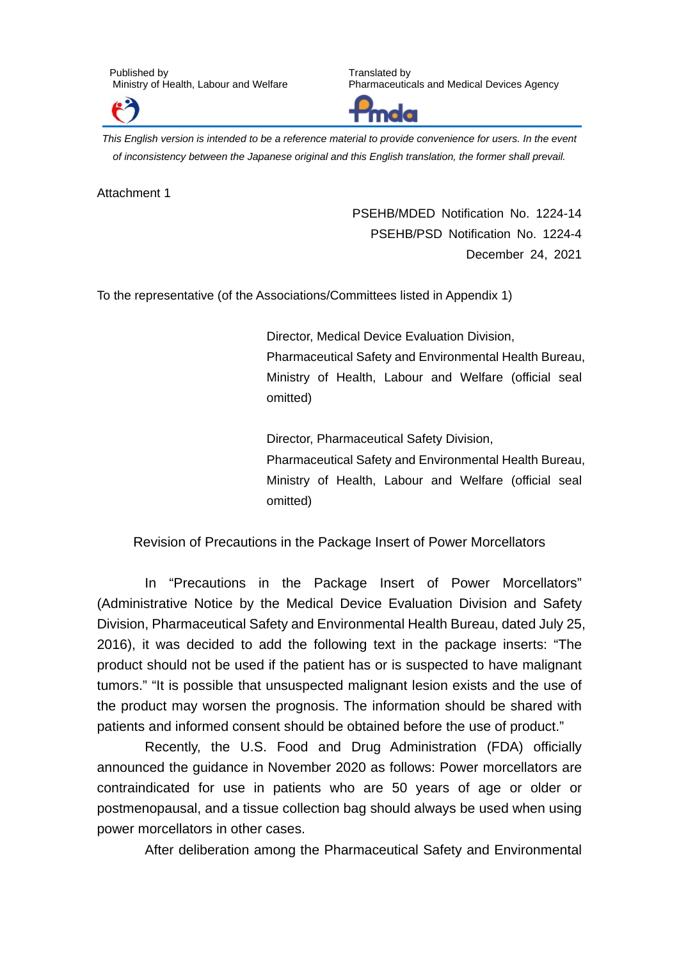

Translated by Pharmaceuticals and Medical Devices Agency



*This English version is intended to be a reference material to provide convenience for users. In the event of inconsistency between the Japanese original and this English translation, the former shall prevail.*

Attachment 1

PSEHB/MDED Notification No. 1224-14 PSEHB/PSD Notification No. 1224-4 December 24, 2021

To the representative (of the Associations/Committees listed in Appendix 1)

Director, Medical Device Evaluation Division, Pharmaceutical Safety and Environmental Health Bureau, Ministry of Health, Labour and Welfare (official seal omitted)

Director, Pharmaceutical Safety Division, Pharmaceutical Safety and Environmental Health Bureau, Ministry of Health, Labour and Welfare (official seal omitted)

Revision of Precautions in the Package Insert of Power Morcellators

In "Precautions in the Package Insert of Power Morcellators" (Administrative Notice by the Medical Device Evaluation Division and Safety Division, Pharmaceutical Safety and Environmental Health Bureau, dated July 25, 2016), it was decided to add the following text in the package inserts: "The product should not be used if the patient has or is suspected to have malignant tumors." "It is possible that unsuspected malignant lesion exists and the use of the product may worsen the prognosis. The information should be shared with patients and informed consent should be obtained before the use of product."

Recently, the U.S. Food and Drug Administration (FDA) officially announced the guidance in November 2020 as follows: Power morcellators are contraindicated for use in patients who are 50 years of age or older or postmenopausal, and a tissue collection bag should always be used when using power morcellators in other cases.

After deliberation among the Pharmaceutical Safety and Environmental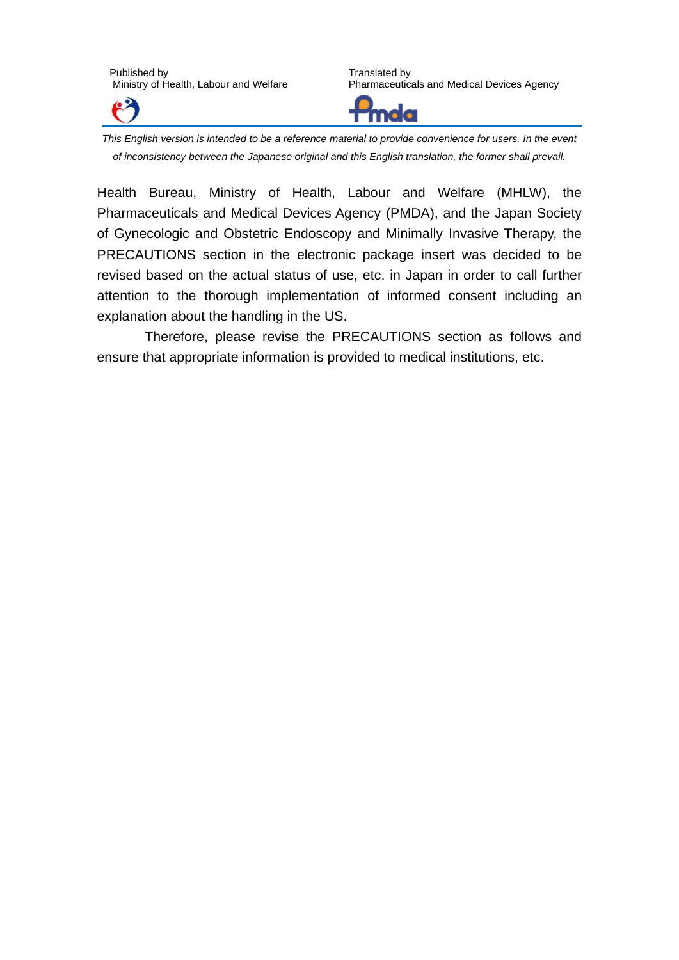

Translated by Pharmaceuticals and Medical Devices Agency



*This English version is intended to be a reference material to provide convenience for users. In the event of inconsistency between the Japanese original and this English translation, the former shall prevail.*

Health Bureau, Ministry of Health, Labour and Welfare (MHLW), the Pharmaceuticals and Medical Devices Agency (PMDA), and the Japan Society of Gynecologic and Obstetric Endoscopy and Minimally Invasive Therapy, the PRECAUTIONS section in the electronic package insert was decided to be revised based on the actual status of use, etc. in Japan in order to call further attention to the thorough implementation of informed consent including an explanation about the handling in the US.

Therefore, please revise the PRECAUTIONS section as follows and ensure that appropriate information is provided to medical institutions, etc.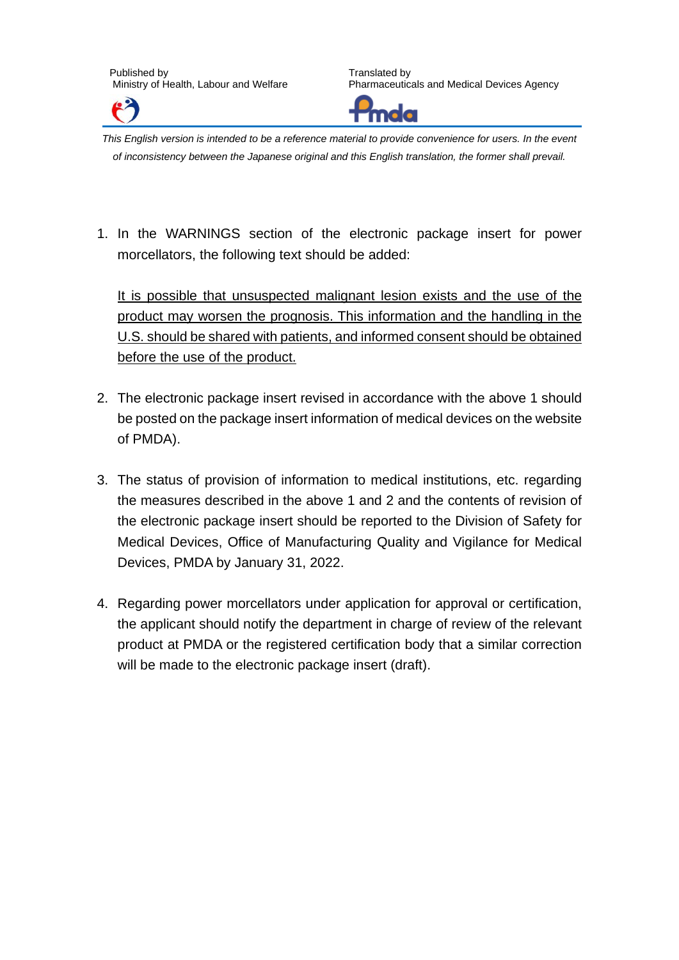

Translated by Pharmaceuticals and Medical Devices Agency



*This English version is intended to be a reference material to provide convenience for users. In the event of inconsistency between the Japanese original and this English translation, the former shall prevail.*

1. In the WARNINGS section of the electronic package insert for power morcellators, the following text should be added:

It is possible that unsuspected malignant lesion exists and the use of the product may worsen the prognosis. This information and the handling in the U.S. should be shared with patients, and informed consent should be obtained before the use of the product.

- 2. The electronic package insert revised in accordance with the above 1 should be posted on the package insert information of medical devices on the website of PMDA).
- 3. The status of provision of information to medical institutions, etc. regarding the measures described in the above 1 and 2 and the contents of revision of the electronic package insert should be reported to the Division of Safety for Medical Devices, Office of Manufacturing Quality and Vigilance for Medical Devices, PMDA by January 31, 2022.
- 4. Regarding power morcellators under application for approval or certification, the applicant should notify the department in charge of review of the relevant product at PMDA or the registered certification body that a similar correction will be made to the electronic package insert (draft).